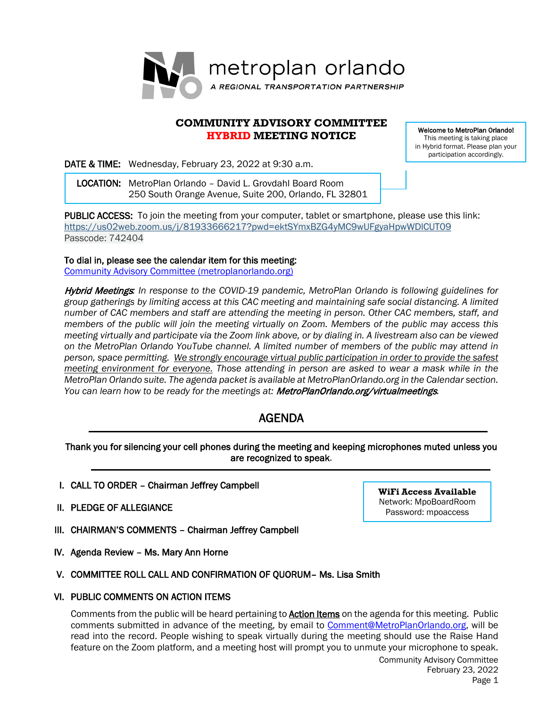

# **COMMUNITY ADVISORY COMMITTEE HYBRID MEETING NOTICE**

Welcome to MetroPlan Orlando! This meeting is taking place in Hybrid format. Please plan your participation accordingly.

DATE & TIME: Wednesday, February 23, 2022 at 9:30 a.m.

 LOCATION: MetroPlan Orlando – David L. Grovdahl Board Room 250 South Orange Avenue, Suite 200, Orlando, FL 32801

PUBLIC ACCESS: To join the meeting from your computer, tablet or smartphone, please use this link: <https://us02web.zoom.us/j/81933666217?pwd=ektSYmxBZG4yMC9wUFgyaHpwWDlCUT09> Passcode: 742404

To dial in, please see the calendar item for this meeting:

[Community Advisory Committee \(metroplanorlando.org\)](https://metroplanorlando.org/meetings/community-advisory-committee-02-23-22/)

Hybrid Meetings*: In response to the COVID-19 pandemic, MetroPlan Orlando is following guidelines for group gatherings by limiting access at this CAC meeting and maintaining safe social distancing. A limited number of CAC members and staff are attending the meeting in person. Other CAC members, staff, and members of the public will join the meeting virtually on Zoom. Members of the public may access this meeting virtually and participate via the Zoom link above, or by dialing in. A livestream also can be viewed on the MetroPlan Orlando YouTube channel. A limited number of members of the public may attend in person, space permitting. We strongly encourage virtual public participation in order to provide the safest meeting environment for everyone. Those attending in person are asked to wear a mask while in the MetroPlan Orlando suite. The agenda packet is available at MetroPlanOrlando.org in the Calendar section.*  You can learn how to be ready for the meetings at: **MetroPlanOrlando.org/virtualmeetings.** 

# AGENDA

# Thank you for silencing your cell phones during the meeting and keeping microphones muted unless you are recognized to speak.

- I. CALL TO ORDER Chairman Jeffrey Campbell
- II. PLEDGE OF ALLEGIANCE
- III. CHAIRMAN'S COMMENTS Chairman Jeffrey Campbell
- IV. Agenda Review Ms. Mary Ann Horne

# V. COMMITTEE ROLL CALL AND CONFIRMATION OF QUORUM– Ms. Lisa Smith

# VI. PUBLIC COMMENTS ON ACTION ITEMS

Community Advisory Committee Comments from the public will be heard pertaining to **Action Items** on the agenda for this meeting. Public comments submitted in advance of the meeting, by email to **Comment@MetroPlanOrlando.org**, will be read into the record. People wishing to speak virtually during the meeting should use the Raise Hand feature on the Zoom platform, and a meeting host will prompt you to unmute your microphone to speak.

February 23, 2022

**WiFi Access Available** Network: MpoBoardRoom Password: mpoaccess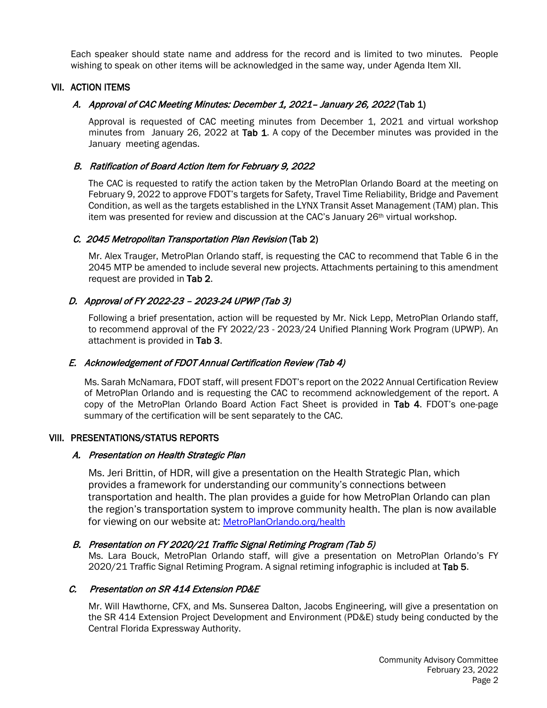Each speaker should state name and address for the record and is limited to two minutes. People wishing to speak on other items will be acknowledged in the same way, under Agenda Item XII.

## VII. ACTION ITEMS

## A. Approval of CAC Meeting Minutes: December 1, 2021– January 26, 2022 (Tab 1)

Approval is requested of CAC meeting minutes from December 1, 2021 and virtual workshop minutes from January 26, 2022 at Tab 1. A copy of the December minutes was provided in the January meeting agendas.

## B. Ratification of Board Action Item for February 9, 2022

The CAC is requested to ratify the action taken by the MetroPlan Orlando Board at the meeting on February 9, 2022 to approve FDOT's targets for Safety, Travel Time Reliability, Bridge and Pavement Condition, as well as the targets established in the LYNX Transit Asset Management (TAM) plan. This item was presented for review and discussion at the CAC's January 26<sup>th</sup> virtual workshop.

## C. 2045 Metropolitan Transportation Plan Revision (Tab 2)

Mr. Alex Trauger, MetroPlan Orlando staff, is requesting the CAC to recommend that Table 6 in the 2045 MTP be amended to include several new projects. Attachments pertaining to this amendment request are provided in Tab 2.

# D. Approval of FY 2022-23 – 2023-24 UPWP (Tab 3)

Following a brief presentation, action will be requested by Mr. Nick Lepp, MetroPlan Orlando staff, to recommend approval of the FY 2022/23 - 2023/24 Unified Planning Work Program (UPWP). An attachment is provided in Tab 3.

#### E. Acknowledgement of FDOT Annual Certification Review (Tab 4)

Ms. Sarah McNamara, FDOT staff, will present FDOT's report on the 2022 Annual Certification Review of MetroPlan Orlando and is requesting the CAC to recommend acknowledgement of the report. A copy of the MetroPlan Orlando Board Action Fact Sheet is provided in Tab 4. FDOT's one-page summary of the certification will be sent separately to the CAC.

#### VIII. PRESENTATIONS/STATUS REPORTS

#### A. Presentation on Health Strategic Plan

Ms. Jeri Brittin, of HDR, will give a presentation on the Health Strategic Plan, which provides a framework for understanding our community's connections between transportation and health. The plan provides a guide for how MetroPlan Orlando can plan the region's transportation system to improve community health. The plan is now available for viewing on our website at: [MetroPlanOrlando.org/health](https://metroplanorlando.org/programs-resources/health-transportation/)

# B. Presentation on FY 2020/21 Traffic Signal Retiming Program (Tab 5)

Ms. Lara Bouck, MetroPlan Orlando staff, will give a presentation on MetroPlan Orlando's FY 2020/21 Traffic Signal Retiming Program. A signal retiming infographic is included at Tab 5.

# C. Presentation on SR 414 Extension PD&E

Mr. Will Hawthorne, CFX, and Ms. Sunserea Dalton, Jacobs Engineering, will give a presentation on the SR 414 Extension Project Development and Environment (PD&E) study being conducted by the Central Florida Expressway Authority.